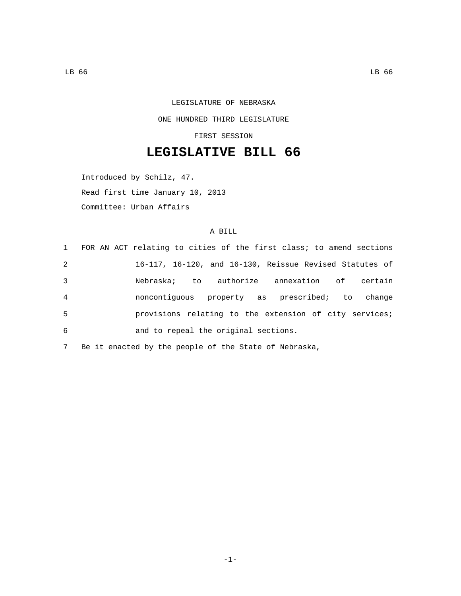## LEGISLATURE OF NEBRASKA ONE HUNDRED THIRD LEGISLATURE

FIRST SESSION

## **LEGISLATIVE BILL 66**

Introduced by Schilz, 47. Read first time January 10, 2013 Committee: Urban Affairs

## A BILL

|                | 1 FOR AN ACT relating to cities of the first class; to amend sections |
|----------------|-----------------------------------------------------------------------|
| 2              | 16-117, 16-120, and 16-130, Reissue Revised Statutes of               |
| 3              | Nebraska; to authorize annexation of certain                          |
| $\overline{4}$ | noncontiquous property as prescribed; to<br>change                    |
| 5              | provisions relating to the extension of city services;                |
| 6              | and to repeal the original sections.                                  |
|                |                                                                       |

7 Be it enacted by the people of the State of Nebraska,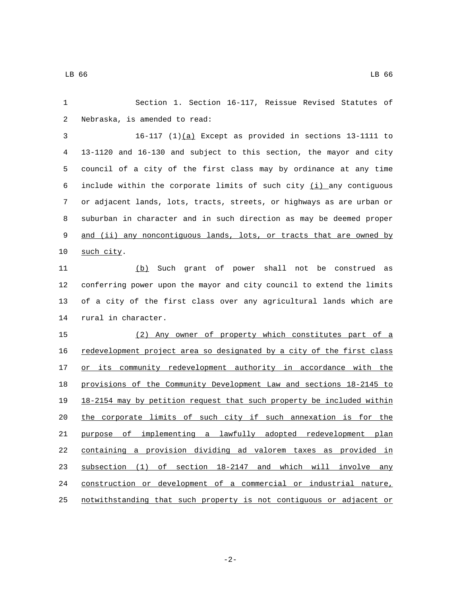| 1  | Section 1. Section 16-117, Reissue Revised Statutes of                |
|----|-----------------------------------------------------------------------|
| 2  | Nebraska, is amended to read:                                         |
| 3  | $16-117$ (1) $(a)$ Except as provided in sections 13-1111 to          |
| 4  | 13-1120 and 16-130 and subject to this section, the mayor and city    |
| 5  | council of a city of the first class may by ordinance at any time     |
| 6  | include within the corporate limits of such city (i) any contiguous   |
| 7  | or adjacent lands, lots, tracts, streets, or highways as are urban or |
| 8  | suburban in character and in such direction as may be deemed proper   |
| 9  | and (ii) any noncontiguous lands, lots, or tracts that are owned by   |
| 10 | such city.                                                            |
| 11 | (b) Such grant of power shall not be construed as                     |
| 12 | conferring power upon the mayor and city council to extend the limits |
| 13 | of a city of the first class over any agricultural lands which are    |
| 14 | rural in character.                                                   |
| 15 | (2) Any owner of property which constitutes part of a                 |
| 16 | redevelopment project area so designated by a city of the first class |
| 17 | or its community redevelopment authority in accordance with the       |
| 18 | provisions of the Community Development Law and sections 18-2145 to   |
| 19 | 18-2154 may by petition request that such property be included within |
| 20 | the corporate limits of such city if such annexation is for the       |
| 21 | purpose of implementing a lawfully adopted redevelopment plan         |
| 22 | containing a provision dividing ad valorem taxes as provided in       |
| 23 | subsection (1) of section 18-2147 and which will involve any          |
| 24 | construction or development of a commercial or industrial nature,     |
| 25 | notwithstanding that such property is not contiguous or adjacent or   |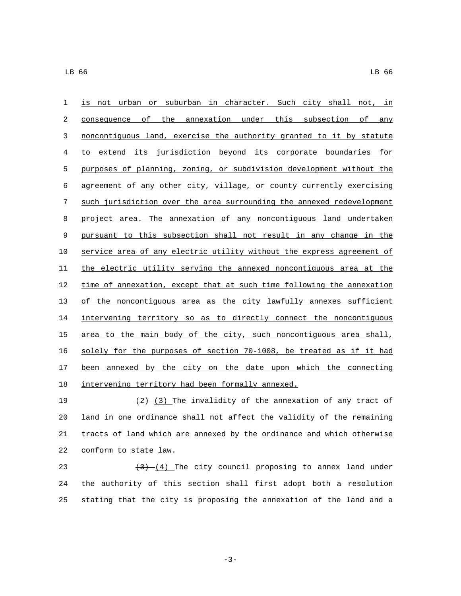is not urban or suburban in character. Such city shall not, in consequence of the annexation under this subsection of any noncontiguous land, exercise the authority granted to it by statute to extend its jurisdiction beyond its corporate boundaries for purposes of planning, zoning, or subdivision development without the agreement of any other city, village, or county currently exercising such jurisdiction over the area surrounding the annexed redevelopment 8 project area. The annexation of any noncontiguous land undertaken pursuant to this subsection shall not result in any change in the service area of any electric utility without the express agreement of the electric utility serving the annexed noncontiguous area at the time of annexation, except that at such time following the annexation 13 of the noncontiguous area as the city lawfully annexes sufficient 14 intervening territory so as to directly connect the noncontiguous 15 area to the main body of the city, such noncontiguous area shall, solely for the purposes of section 70-1008, be treated as if it had 17 been annexed by the city on the date upon which the connecting 18 intervening territory had been formally annexed.

 $\left(\frac{2}{2}\right)$  (3) The invalidity of the annexation of any tract of land in one ordinance shall not affect the validity of the remaining tracts of land which are annexed by the ordinance and which otherwise 22 conform to state law.

23  $(3)$   $(4)$  The city council proposing to annex land under 24 the authority of this section shall first adopt both a resolution 25 stating that the city is proposing the annexation of the land and a

-3-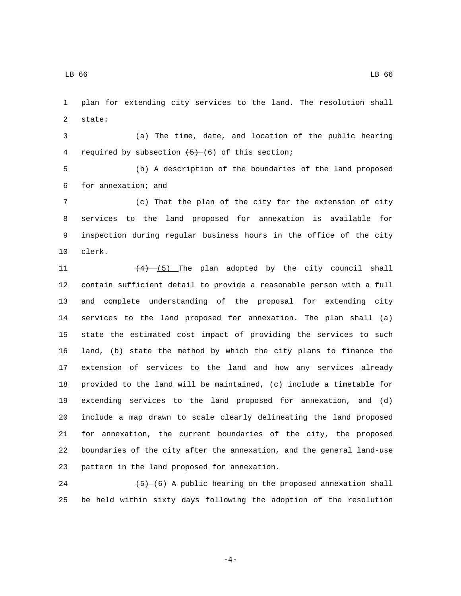LB 66 LB 66 LB 66 LB 66 LB 66 LB 66 LB 66 LB 66 LB 66 LB 66 LB 66 LB 66 LB 66 LB 66 LB 66

 plan for extending city services to the land. The resolution shall 2 state:

 (a) The time, date, and location of the public hearing 4 required by subsection  $(5)$  (6) of this section;

 (b) A description of the boundaries of the land proposed for annexation; and6

 (c) That the plan of the city for the extension of city services to the land proposed for annexation is available for inspection during regular business hours in the office of the city 10 clerk.

 $\left(4\right)$   $\left(5\right)$  The plan adopted by the city council shall contain sufficient detail to provide a reasonable person with a full and complete understanding of the proposal for extending city services to the land proposed for annexation. The plan shall (a) state the estimated cost impact of providing the services to such land, (b) state the method by which the city plans to finance the extension of services to the land and how any services already provided to the land will be maintained, (c) include a timetable for extending services to the land proposed for annexation, and (d) include a map drawn to scale clearly delineating the land proposed for annexation, the current boundaries of the city, the proposed boundaries of the city after the annexation, and the general land-use 23 pattern in the land proposed for annexation.

24  $(5)$   $(6)$  A public hearing on the proposed annexation shall be held within sixty days following the adoption of the resolution

-4-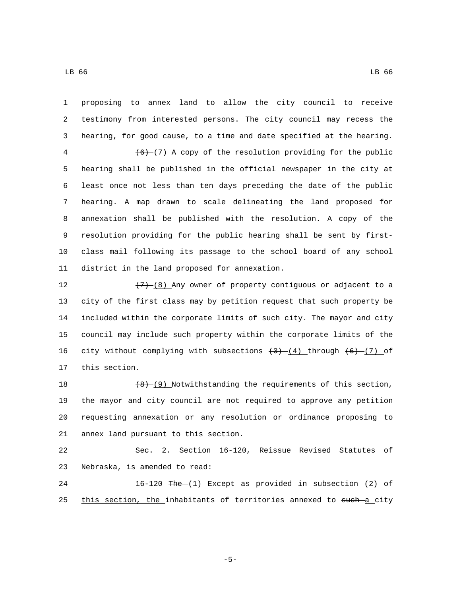LB 66 LB 66 LB 66 LB 66 LB 66 LB 66 LB 66 LB 66 LB 66 LB 66 LB 66 LB 66 LB 66 LB 66 LB 66

 proposing to annex land to allow the city council to receive testimony from interested persons. The city council may recess the hearing, for good cause, to a time and date specified at the hearing.  $(6)$  (7) A copy of the resolution providing for the public hearing shall be published in the official newspaper in the city at least once not less than ten days preceding the date of the public hearing. A map drawn to scale delineating the land proposed for annexation shall be published with the resolution. A copy of the resolution providing for the public hearing shall be sent by first- class mail following its passage to the school board of any school 11 district in the land proposed for annexation.

 $\left(7\right)$   $\left(8\right)$  Any owner of property contiguous or adjacent to a city of the first class may by petition request that such property be included within the corporate limits of such city. The mayor and city council may include such property within the corporate limits of the 16 city without complying with subsections  $(3) - (4)$  through  $(6) - (7)$  of 17 this section.

 $(8)$   $(9)$  Notwithstanding the requirements of this section, the mayor and city council are not required to approve any petition requesting annexation or any resolution or ordinance proposing to 21 annex land pursuant to this section.

22 Sec. 2. Section 16-120, Reissue Revised Statutes of 23 Nebraska, is amended to read:

24 16-120 The (1) Except as provided in subsection (2) of 25 this section, the inhabitants of territories annexed to such a city

-5-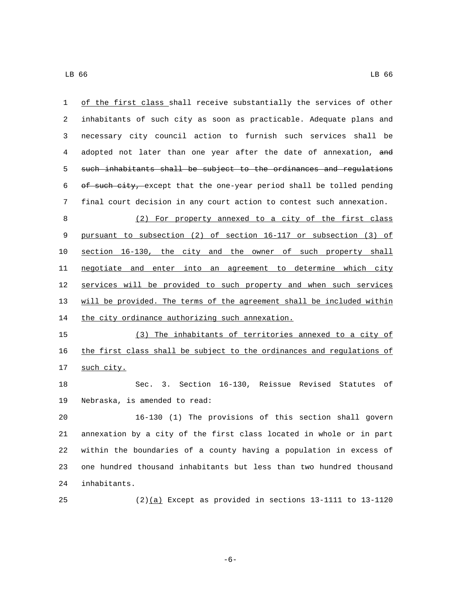of the first class shall receive substantially the services of other inhabitants of such city as soon as practicable. Adequate plans and necessary city council action to furnish such services shall be 4 adopted not later than one year after the date of annexation, and such inhabitants shall be subject to the ordinances and regulations of such city, except that the one-year period shall be tolled pending final court decision in any court action to contest such annexation. (2) For property annexed to a city of the first class pursuant to subsection (2) of section 16-117 or subsection (3) of section 16-130, the city and the owner of such property shall 11 negotiate and enter into an agreement to determine which city services will be provided to such property and when such services will be provided. The terms of the agreement shall be included within 14 the city ordinance authorizing such annexation. (3) The inhabitants of territories annexed to a city of the first class shall be subject to the ordinances and regulations of 17 such city. Sec. 3. Section 16-130, Reissue Revised Statutes of 19 Nebraska, is amended to read: 16-130 (1) The provisions of this section shall govern annexation by a city of the first class located in whole or in part within the boundaries of a county having a population in excess of one hundred thousand inhabitants but less than two hundred thousand 24 inhabitants. 25 (2) $(a)$  Except as provided in sections 13-1111 to 13-1120

-6-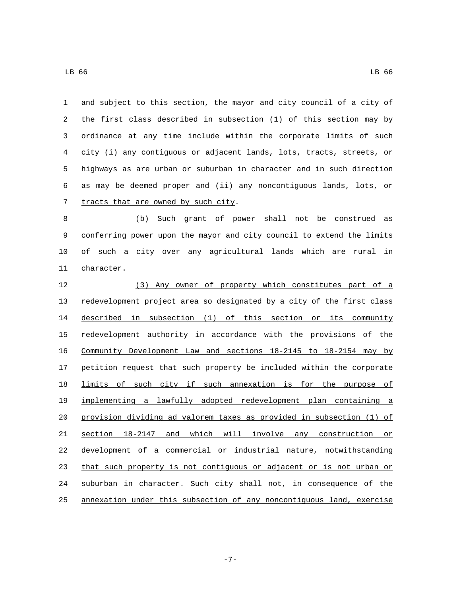and subject to this section, the mayor and city council of a city of the first class described in subsection (1) of this section may by ordinance at any time include within the corporate limits of such city (i) any contiguous or adjacent lands, lots, tracts, streets, or highways as are urban or suburban in character and in such direction as may be deemed proper and (ii) any noncontiguous lands, lots, or 7 tracts that are owned by such city. 8 (b) Such grant of power shall not be construed as conferring power upon the mayor and city council to extend the limits of such a city over any agricultural lands which are rural in 11 character. (3) Any owner of property which constitutes part of a redevelopment project area so designated by a city of the first class described in subsection (1) of this section or its community 15 redevelopment authority in accordance with the provisions of the

 Community Development Law and sections 18-2145 to 18-2154 may by petition request that such property be included within the corporate limits of such city if such annexation is for the purpose of implementing a lawfully adopted redevelopment plan containing a provision dividing ad valorem taxes as provided in subsection (1) of section 18-2147 and which will involve any construction or development of a commercial or industrial nature, notwithstanding that such property is not contiguous or adjacent or is not urban or suburban in character. Such city shall not, in consequence of the annexation under this subsection of any noncontiguous land, exercise

LB 66 LB 66 LB 66 LB 66 LB 66 LB 66 LB 66 LB 66 LB 66 LB 66 LB 66 LB 66 LB 66 LB 66 LB 66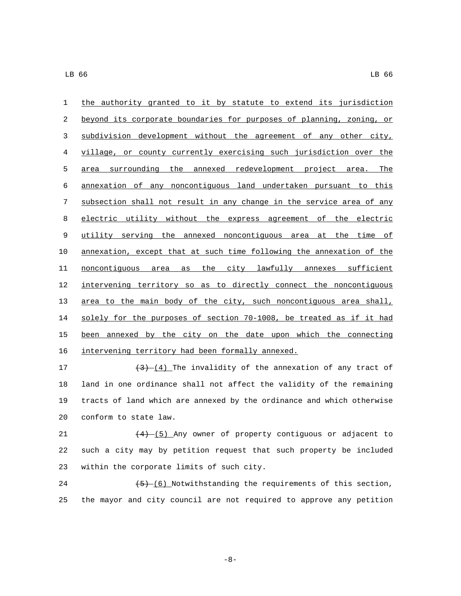the authority granted to it by statute to extend its jurisdiction beyond its corporate boundaries for purposes of planning, zoning, or subdivision development without the agreement of any other city, village, or county currently exercising such jurisdiction over the area surrounding the annexed redevelopment project area. The annexation of any noncontiguous land undertaken pursuant to this subsection shall not result in any change in the service area of any electric utility without the express agreement of the electric utility serving the annexed noncontiguous area at the time of annexation, except that at such time following the annexation of the 11 noncontiguous area as the city lawfully annexes sufficient intervening territory so as to directly connect the noncontiguous 13 area to the main body of the city, such noncontiguous area shall, solely for the purposes of section 70-1008, be treated as if it had been annexed by the city on the date upon which the connecting 16 intervening territory had been formally annexed.

 $\left(3\right)$   $\left(4\right)$  The invalidity of the annexation of any tract of land in one ordinance shall not affect the validity of the remaining tracts of land which are annexed by the ordinance and which otherwise 20 conform to state law.

21  $(4)-(5)$  Any owner of property contiguous or adjacent to such a city may by petition request that such property be included 23 within the corporate limits of such city.

24  $(5)-(6)$  Notwithstanding the requirements of this section, the mayor and city council are not required to approve any petition

-8-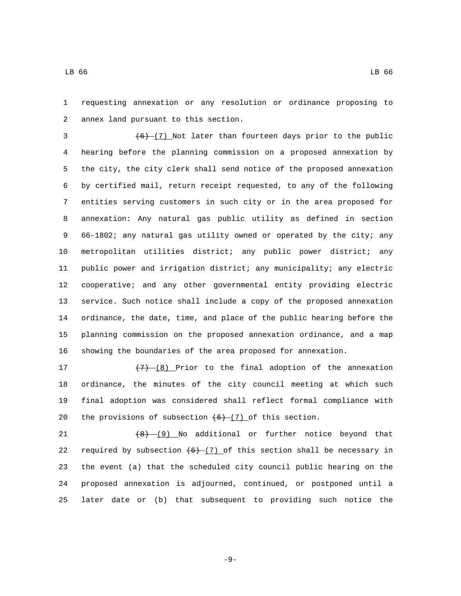requesting annexation or any resolution or ordinance proposing to annex land pursuant to this section.2

 $(6)$  (7) Not later than fourteen days prior to the public hearing before the planning commission on a proposed annexation by the city, the city clerk shall send notice of the proposed annexation by certified mail, return receipt requested, to any of the following entities serving customers in such city or in the area proposed for annexation: Any natural gas public utility as defined in section 66-1802; any natural gas utility owned or operated by the city; any metropolitan utilities district; any public power district; any public power and irrigation district; any municipality; any electric cooperative; and any other governmental entity providing electric service. Such notice shall include a copy of the proposed annexation ordinance, the date, time, and place of the public hearing before the planning commission on the proposed annexation ordinance, and a map showing the boundaries of the area proposed for annexation.

 $\left(7\right)$   $\left(8\right)$  Prior to the final adoption of the annexation ordinance, the minutes of the city council meeting at which such final adoption was considered shall reflect formal compliance with 20 the provisions of subsection  $(6)$   $(7)$  of this section.

 $(8)$   $(9)$  No additional or further notice beyond that 22 required by subsection  $(6)$ - $(7)$  of this section shall be necessary in the event (a) that the scheduled city council public hearing on the proposed annexation is adjourned, continued, or postponed until a later date or (b) that subsequent to providing such notice the

-9-